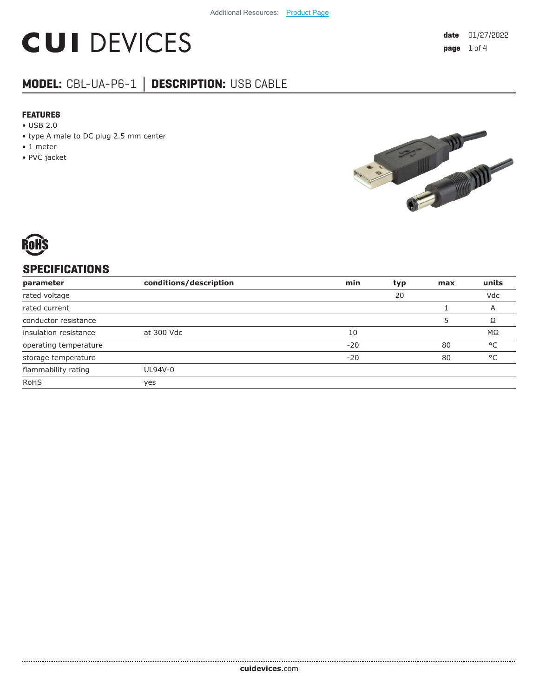# **CUI DEVICES**

### **MODEL:** CBL-UA-P6-1 **│ DESCRIPTION:** USB CABLE

#### **FEATURES**

- USB 2.0
- type A male to DC plug 2.5 mm center

- 1 meter
- PVC jacket





#### **SPECIFICATIONS**

| parameter             | conditions/description | min   | typ | max | units        |
|-----------------------|------------------------|-------|-----|-----|--------------|
| rated voltage         |                        |       | 20  |     | Vdc          |
| rated current         |                        |       |     |     | A            |
| conductor resistance  |                        |       |     |     | Ω            |
| insulation resistance | at 300 Vdc             | 10    |     |     | $M\Omega$    |
| operating temperature |                        | $-20$ |     | 80  | °C           |
| storage temperature   |                        | $-20$ |     | 80  | $^{\circ}$ C |
| flammability rating   | UL94V-0                |       |     |     |              |
| <b>RoHS</b>           | yes                    |       |     |     |              |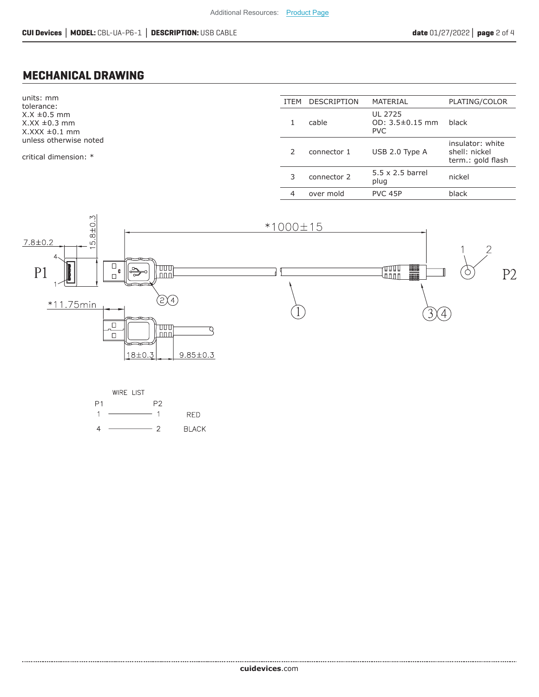#### **MECHANICAL DRAWING**

units: mm tolerance:  $X.X \pm 0.5$  mm  $X.XX \pm 0.3$  mm  $X.XXX \pm 0.1$  mm unless otherwise noted

critical dimension: \*

| <b>ITFM</b>   | <b>DESCRIPTION</b> | MATERIAL                                       | PLATING/COLOR                                          |
|---------------|--------------------|------------------------------------------------|--------------------------------------------------------|
|               | cable              | UL 2725<br>$OD: 3.5 \pm 0.15$ mm<br><b>PVC</b> | black                                                  |
| $\mathcal{P}$ | connector 1        | USB 2.0 Type A                                 | insulator: white<br>shell: nickel<br>term.: gold flash |
| 3             | connector 2        | $5.5 \times 2.5$ barrel<br>plug                | nickel                                                 |
| 4             | over mold          | PVC 45P                                        | black                                                  |
|               |                    |                                                |                                                        |



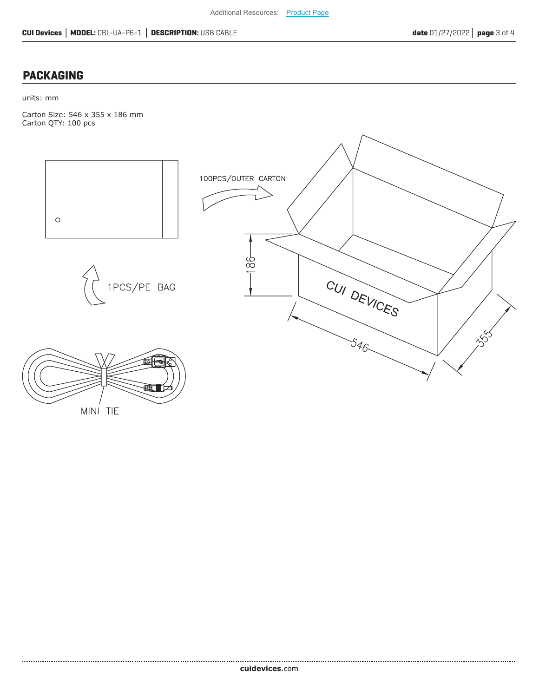#### **PACKAGING**

units: mm

Carton Size: 546 x 355 x 186 mm Carton QTY: 100 pcs



MINI TIE